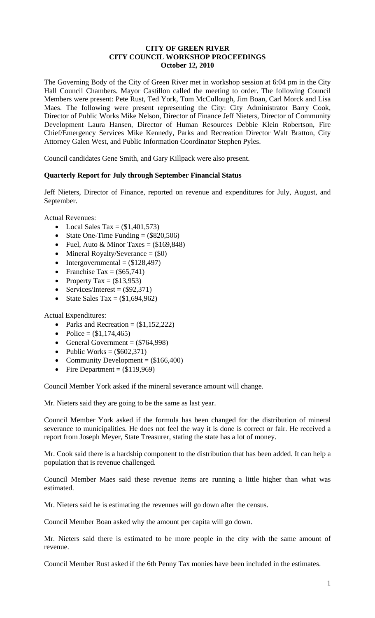### **CITY OF GREEN RIVER CITY COUNCIL WORKSHOP PROCEEDINGS October 12, 2010**

The Governing Body of the City of Green River met in workshop session at 6:04 pm in the City Hall Council Chambers. Mayor Castillon called the meeting to order. The following Council Members were present: Pete Rust, Ted York, Tom McCullough, Jim Boan, Carl Morck and Lisa Maes. The following were present representing the City: City Administrator Barry Cook, Director of Public Works Mike Nelson, Director of Finance Jeff Nieters, Director of Community Development Laura Hansen, Director of Human Resources Debbie Klein Robertson, Fire Chief/Emergency Services Mike Kennedy, Parks and Recreation Director Walt Bratton, City Attorney Galen West, and Public Information Coordinator Stephen Pyles.

Council candidates Gene Smith, and Gary Killpack were also present.

### **Quarterly Report for July through September Financial Status**

Jeff Nieters, Director of Finance, reported on revenue and expenditures for July, August, and September.

Actual Revenues:

- Local Sales Tax =  $(\$1,401,573)$
- State One-Time Funding  $=$  (\$820,506)
- Fuel, Auto & Minor Taxes =  $(\$169,848)$
- Mineral Royalty/Severance  $= (\$0)$
- Intergovernmental  $=$  (\$128,497)
- Franchise Tax =  $(\$65,741)$
- Property Tax =  $(\$13,953)$
- Services/Interest =  $(\$92,371)$
- State Sales Tax =  $(\$1,694,962)$

Actual Expenditures:

- Parks and Recreation  $=$  (\$1,152,222)
- Police =  $($1,174,465)$
- General Government  $=$  (\$764,998)
- Public Works =  $(\$602,371)$
- Community Development  $=$  (\$166,400)
- Fire Department  $=$  (\$119,969)

Council Member York asked if the mineral severance amount will change.

Mr. Nieters said they are going to be the same as last year.

Council Member York asked if the formula has been changed for the distribution of mineral severance to municipalities. He does not feel the way it is done is correct or fair. He received a report from Joseph Meyer, State Treasurer, stating the state has a lot of money.

Mr. Cook said there is a hardship component to the distribution that has been added. It can help a population that is revenue challenged.

Council Member Maes said these revenue items are running a little higher than what was estimated.

Mr. Nieters said he is estimating the revenues will go down after the census.

Council Member Boan asked why the amount per capita will go down.

Mr. Nieters said there is estimated to be more people in the city with the same amount of revenue.

Council Member Rust asked if the 6th Penny Tax monies have been included in the estimates.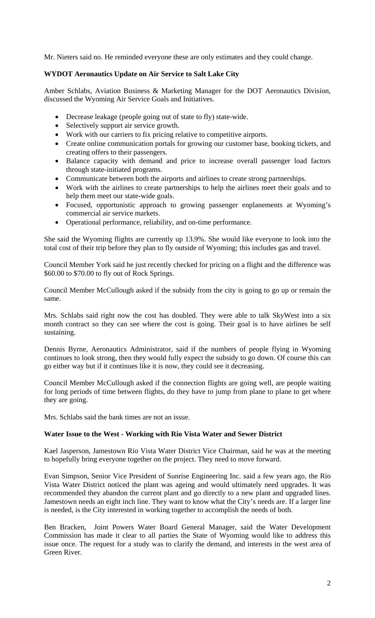Mr. Nieters said no. He reminded everyone these are only estimates and they could change.

## **WYDOT Aeronautics Update on Air Service to Salt Lake City**

Amber Schlabs, Aviation Business & Marketing Manager for the DOT Aeronautics Division, discussed the Wyoming Air Service Goals and Initiatives.

- Decrease leakage (people going out of state to fly) state-wide.
- Selectively support air service growth.
- Work with our carriers to fix pricing relative to competitive airports.
- Create online communication portals for growing our customer base, booking tickets, and creating offers to their passengers.
- Balance capacity with demand and price to increase overall passenger load factors through state-initiated programs.
- Communicate between both the airports and airlines to create strong partnerships.
- Work with the airlines to create partnerships to help the airlines meet their goals and to help them meet our state-wide goals.
- Focused, opportunistic approach to growing passenger enplanements at Wyoming's commercial air service markets.
- Operational performance, reliability, and on-time performance.

She said the Wyoming flights are currently up 13.9%. She would like everyone to look into the total cost of their trip before they plan to fly outside of Wyoming; this includes gas and travel.

Council Member York said he just recently checked for pricing on a flight and the difference was \$60.00 to \$70.00 to fly out of Rock Springs.

Council Member McCullough asked if the subsidy from the city is going to go up or remain the same.

Mrs. Schlabs said right now the cost has doubled. They were able to talk SkyWest into a six month contract so they can see where the cost is going. Their goal is to have airlines be self sustaining.

Dennis Byrne, Aeronautics Administrator, said if the numbers of people flying in Wyoming continues to look strong, then they would fully expect the subsidy to go down. Of course this can go either way but if it continues like it is now, they could see it decreasing.

Council Member McCullough asked if the connection flights are going well, are people waiting for long periods of time between flights, do they have to jump from plane to plane to get where they are going.

Mrs. Schlabs said the bank times are not an issue.

### **Water Issue to the West - Working with Rio Vista Water and Sewer District**

Kael Jasperson, Jamestown Rio Vista Water District Vice Chairman, said he was at the meeting to hopefully bring everyone together on the project. They need to move forward.

Evan Simpson, Senior Vice President of Sunrise Engineering Inc. said a few years ago, the Rio Vista Water District noticed the plant was ageing and would ultimately need upgrades. It was recommended they abandon the current plant and go directly to a new plant and upgraded lines. Jamestown needs an eight inch line. They want to know what the City's needs are. If a larger line is needed, is the City interested in working together to accomplish the needs of both.

Ben Bracken, Joint Powers Water Board General Manager, said the Water Development Commission has made it clear to all parties the State of Wyoming would like to address this issue once. The request for a study was to clarify the demand, and interests in the west area of Green River.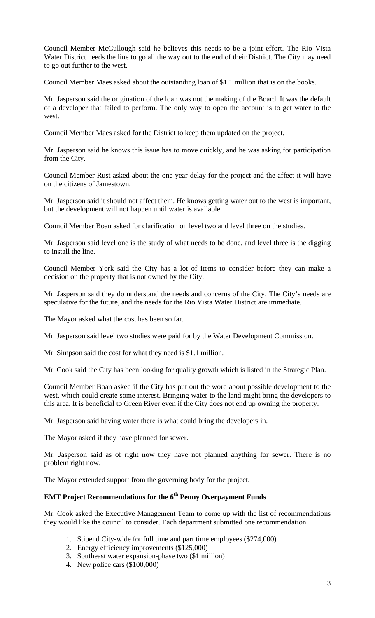Council Member McCullough said he believes this needs to be a joint effort. The Rio Vista Water District needs the line to go all the way out to the end of their District. The City may need to go out further to the west.

Council Member Maes asked about the outstanding loan of \$1.1 million that is on the books.

Mr. Jasperson said the origination of the loan was not the making of the Board. It was the default of a developer that failed to perform. The only way to open the account is to get water to the west.

Council Member Maes asked for the District to keep them updated on the project.

Mr. Jasperson said he knows this issue has to move quickly, and he was asking for participation from the City.

Council Member Rust asked about the one year delay for the project and the affect it will have on the citizens of Jamestown.

Mr. Jasperson said it should not affect them. He knows getting water out to the west is important, but the development will not happen until water is available.

Council Member Boan asked for clarification on level two and level three on the studies.

Mr. Jasperson said level one is the study of what needs to be done, and level three is the digging to install the line.

Council Member York said the City has a lot of items to consider before they can make a decision on the property that is not owned by the City.

Mr. Jasperson said they do understand the needs and concerns of the City. The City's needs are speculative for the future, and the needs for the Rio Vista Water District are immediate.

The Mayor asked what the cost has been so far.

Mr. Jasperson said level two studies were paid for by the Water Development Commission.

Mr. Simpson said the cost for what they need is \$1.1 million.

Mr. Cook said the City has been looking for quality growth which is listed in the Strategic Plan.

Council Member Boan asked if the City has put out the word about possible development to the west, which could create some interest. Bringing water to the land might bring the developers to this area. It is beneficial to Green River even if the City does not end up owning the property.

Mr. Jasperson said having water there is what could bring the developers in.

The Mayor asked if they have planned for sewer.

Mr. Jasperson said as of right now they have not planned anything for sewer. There is no problem right now.

The Mayor extended support from the governing body for the project.

# **EMT Project Recommendations for the 6<sup>th</sup> Penny Overpayment Funds**

Mr. Cook asked the Executive Management Team to come up with the list of recommendations they would like the council to consider. Each department submitted one recommendation.

- 1. Stipend City-wide for full time and part time employees (\$274,000)
- 2. Energy efficiency improvements (\$125,000)
- 3. Southeast water expansion-phase two (\$1 million)
- 4. New police cars (\$100,000)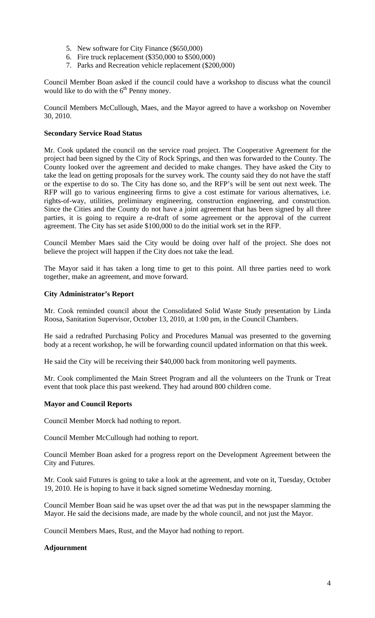- 5. New software for City Finance (\$650,000)
- 6. Fire truck replacement (\$350,000 to \$500,000)
- 7. Parks and Recreation vehicle replacement (\$200,000)

Council Member Boan asked if the council could have a workshop to discuss what the council would like to do with the  $6<sup>th</sup>$  Penny money.

Council Members McCullough, Maes, and the Mayor agreed to have a workshop on November 30, 2010.

### **Secondary Service Road Status**

Mr. Cook updated the council on the service road project. The Cooperative Agreement for the project had been signed by the City of Rock Springs, and then was forwarded to the County. The County looked over the agreement and decided to make changes. They have asked the City to take the lead on getting proposals for the survey work. The county said they do not have the staff or the expertise to do so. The City has done so, and the RFP's will be sent out next week. The RFP will go to various engineering firms to give a cost estimate for various alternatives, i.e. rights-of-way, utilities, preliminary engineering, construction engineering, and construction. Since the Cities and the County do not have a joint agreement that has been signed by all three parties, it is going to require a re-draft of some agreement or the approval of the current agreement. The City has set aside \$100,000 to do the initial work set in the RFP.

Council Member Maes said the City would be doing over half of the project. She does not believe the project will happen if the City does not take the lead.

The Mayor said it has taken a long time to get to this point. All three parties need to work together, make an agreement, and move forward.

### **City Administrator's Report**

Mr. Cook reminded council about the Consolidated Solid Waste Study presentation by Linda Roosa, Sanitation Supervisor, October 13, 2010, at 1:00 pm, in the Council Chambers.

He said a redrafted Purchasing Policy and Procedures Manual was presented to the governing body at a recent workshop, he will be forwarding council updated information on that this week.

He said the City will be receiving their \$40,000 back from monitoring well payments.

Mr. Cook complimented the Main Street Program and all the volunteers on the Trunk or Treat event that took place this past weekend. They had around 800 children come.

### **Mayor and Council Reports**

Council Member Morck had nothing to report.

Council Member McCullough had nothing to report.

Council Member Boan asked for a progress report on the Development Agreement between the City and Futures.

Mr. Cook said Futures is going to take a look at the agreement, and vote on it, Tuesday, October 19, 2010. He is hoping to have it back signed sometime Wednesday morning.

Council Member Boan said he was upset over the ad that was put in the newspaper slamming the Mayor. He said the decisions made, are made by the whole council, and not just the Mayor.

Council Members Maes, Rust, and the Mayor had nothing to report.

### **Adjournment**